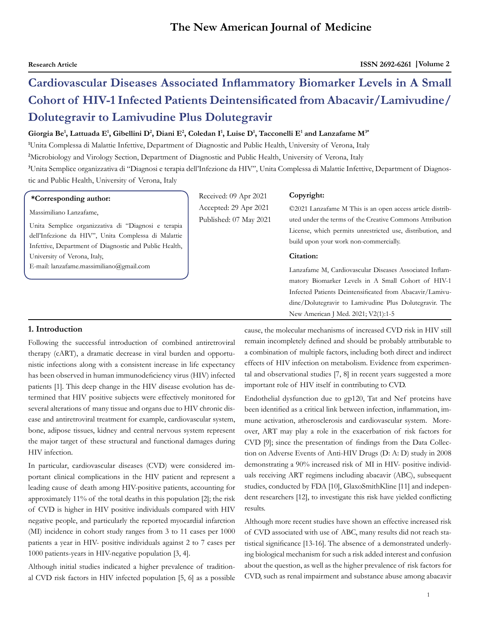# **Cardiovascular Diseases Associated Inflammatory Biomarker Levels in A Small Cohort of HIV-1 Infected Patients Deintensificated from Abacavir/Lamivudine/ Dolutegravir to Lamivudine Plus Dolutegravir**

## **Giorgia Be<sup>1</sup> , Lattuada E<sup>1</sup> , Gibellini D<sup>2</sup> , Diani E<sup>2</sup> , Coledan I1 , Luise D<sup>1</sup> , Tacconelli E<sup>1</sup> and Lanzafame M3\***

**1** Unita Complessa di Malattie Infettive, Department of Diagnostic and Public Health, University of Verona, Italy

**2** Microbiology and Virology Section, Department of Diagnostic and Public Health, University of Verona, Italy

**3** Unita Semplice organizzativa di "Diagnosi e terapia dell'Infezione da HIV", Unita Complessa di Malattie Infettive, Department of Diagnostic and Public Health, University of Verona, Italy

## **\*Corresponding author:**

Massimiliano Lanzafame,

Unita Semplice organizzativa di "Diagnosi e terapia dell'Infezione da HIV", Unita Complessa di Malattie Infettive, Department of Diagnostic and Public Health, University of Verona, Italy,

E-mail: lanzafame.massimiliano@gmail.com

Received: 09 Apr 2021 Accepted: 29 Apr 2021 Published: 07 May 2021

#### **Copyright:**

©2021 Lanzafame M This is an open access article distributed under the terms of the Creative Commons Attribution License, which permits unrestricted use, distribution, and build upon your work non-commercially.

### **Citation:**

Lanzafame M, Cardiovascular Diseases Associated Inflammatory Biomarker Levels in A Small Cohort of HIV-1 Infected Patients Deintensificated from Abacavir/Lamivudine/Dolutegravir to Lamivudine Plus Dolutegravir. The New American J Med. 2021; V2(1):1-5

## **1. Introduction**

Following the successful introduction of combined antiretroviral therapy (cART), a dramatic decrease in viral burden and opportunistic infections along with a consistent increase in life expectancy has been observed in human immunodeficiency virus (HIV) infected patients [1]. This deep change in the HIV disease evolution has determined that HIV positive subjects were effectively monitored for several alterations of many tissue and organs due to HIV chronic disease and antiretroviral treatment for example, cardiovascular system, bone, adipose tissues, kidney and central nervous system represent the major target of these structural and functional damages during HIV infection.

In particular, cardiovascular diseases (CVD) were considered important clinical complications in the HIV patient and represent a leading cause of death among HIV-positive patients, accounting for approximately 11% of the total deaths in this population [2]; the risk of CVD is higher in HIV positive individuals compared with HIV negative people, and particularly the reported myocardial infarction (MI) incidence in cohort study ranges from 3 to 11 cases per 1000 patients a year in HIV- positive individuals against 2 to 7 cases per 1000 patients-years in HIV-negative population [3, 4].

Although initial studies indicated a higher prevalence of traditional CVD risk factors in HIV infected population [5, 6] as a possible cause, the molecular mechanisms of increased CVD risk in HIV still remain incompletely defined and should be probably attributable to a combination of multiple factors, including both direct and indirect effects of HIV infection on metabolism. Evidence from experimental and observational studies [7, 8] in recent years suggested a more important role of HIV itself in contributing to CVD.

Endothelial dysfunction due to gp120, Tat and Nef proteins have been identified as a critical link between infection, inflammation, immune activation, atherosclerosis and cardiovascular system. Moreover, ART may play a role in the exacerbation of risk factors for CVD [9]; since the presentation of findings from the Data Collection on Adverse Events of Anti-HIV Drugs (D: A: D) study in 2008 demonstrating a 90% increased risk of MI in HIV- positive individuals receiving ART regimens including abacavir (ABC), subsequent studies, conducted by FDA [10], GlaxoSmithKline [11] and independent researchers [12], to investigate this risk have yielded conflicting results.

Although more recent studies have shown an effective increased risk of CVD associated with use of ABC, many results did not reach statistical significance [13-16]. The absence of a demonstrated underlying biological mechanism for such a risk added interest and confusion about the question, as well as the higher prevalence of risk factors for CVD, such as renal impairment and substance abuse among abacavir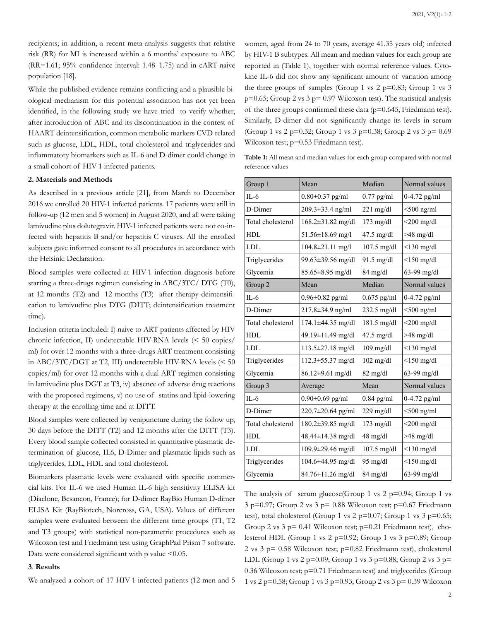recipients; in addition, a recent meta-analysis suggests that relative risk (RR) for MI is increased within a 6 months' exposure to ABC (RR=1.61; 95% confidence interval: 1.48–1.75) and in cART-naive population [18].

While the published evidence remains conflicting and a plausible biological mechanism for this potential association has not yet been identified, in the following study we have tried to verify whether, after introduction of ABC and its discontinuation in the contest of HAART deintensification, common metabolic markers CVD related such as glucose, LDL, HDL, total cholesterol and triglycerides and inflammatory biomarkers such as IL-6 and D-dimer could change in a small cohort of HIV-1 infected patients.

## **2. Materials and Methods**

As described in a previous article [21], from March to December 2016 we enrolled 20 HIV-1 infected patients. 17 patients were still in follow-up (12 men and 5 women) in August 2020, and all were taking lamivudine plus dolutegravir. HIV-1 infected patients were not co-infected with hepatitis B and/or hepatitis C viruses. All the enrolled subjects gave informed consent to all procedures in accordance with the Helsinki Declaration.

Blood samples were collected at HIV-1 infection diagnosis before starting a three-drugs regimen consisting in ABC/3TC/ DTG (T0), at 12 months (T2) and 12 months (T3) after therapy deintensification to lamivudine plus DTG (DITT; deintensification treatment time).

Inclusion criteria included: I) naive to ART patients affected by HIV chronic infection, II) undetectable HIV-RNA levels (< 50 copies/ ml) for over 12 months with a three-drugs ART treatment consisting in ABC/3TC/DGT at T2, III) undetectable HIV-RNA levels (< 50 copies/ml) for over 12 months with a dual ART regimen consisting in lamivudine plus DGT at T3, iv) absence of adverse drug reactions with the proposed regimens, v) no use of statins and lipid-lowering therapy at the enrolling time and at DITT.

Blood samples were collected by venipuncture during the follow up, 30 days before the DITT (T2) and 12 months after the DITT (T3). Every blood sample collected consisted in quantitative plasmatic determination of glucose, IL6, D-Dimer and plasmatic lipids such as triglycerides, LDL, HDL and total cholesterol.

Biomarkers plasmatic levels were evaluated with specific commercial kits. For IL-6 we used Human IL-6 high sensitivity ELISA kit (Diaclone, Besancon, France); for D-dimer RayBio Human D-dimer ELISA Kit (RayBiotech, Norcross, GA, USA). Values of different samples were evaluated between the different time groups (T1, T2 and T3 groups) with statistical non-parametric procedures such as Wilcoxon test and Friedmann test using GraphPad Prism 7 software. Data were considered significant with  $p$  value <0.05.

#### **3**. **Results**

We analyzed a cohort of 17 HIV-1 infected patients (12 men and 5

women, aged from 24 to 70 years, average 41.35 years old) infected by HIV-1 B subtypes. All mean and median values for each group are reported in (Table 1), together with normal reference values. Cytokine IL-6 did not show any significant amount of variation among the three groups of samples (Group 1 vs  $2$  p=0.83; Group 1 vs  $3$  $p=0.65$ ; Group 2 vs 3  $p=0.97$  Wilcoxon test). The statistical analysis of the three groups confirmed these data ( $p=0.645$ ; Friedmann test). Similarly, D-dimer did not significantly change its levels in serum (Group 1 vs 2 p=0.32; Group 1 vs 3 p=0.38; Group 2 vs 3 p= 0.69 Wilcoxon test; p=0.53 Friedmann test).

**Table 1:** All mean and median values for each group compared with normal reference values

| Group 1           | Mean                    | Median              | Normal values    |
|-------------------|-------------------------|---------------------|------------------|
| $II - 6$          | $0.80 \pm 0.37$ pg/ml   | $0.77$ pg/ml        | 0-4.72 pg/ml     |
| D-Dimer           | 209.3±33.4 ng/ml        | $221 \text{ mg/dl}$ | $<$ 500 ng/ml    |
| Total cholesterol | $168.2 \pm 31.82$ mg/dl | $173 \text{ mg/dl}$ | $<$ 200 mg/dl    |
| <b>HDL</b>        | $51.56 \pm 18.69$ mg/l  | 47.5 mg/dl          | $>48$ mg/dl      |
| <b>LDL</b>        | $104.8 \pm 21.11$ mg/l  | $107.5$ mg/dl       | $<$ 130 mg/dl    |
| Triglycerides     | 99.63±39.56 mg/dl       | 91.5 mg/dl          | $<$ 150 mg/dl    |
| Glycemia          | 85.65±8.95 mg/dl        | $84 \text{ mg/dl}$  | $63-99$ mg/dl    |
| Group 2           | Mean                    | Median              | Normal values    |
| $IL-6$            | $0.96 \pm 0.82$ pg/ml   | $0.675$ pg/ml       | $0-4.72$ pg/ml   |
| D-Dimer           | $217.8 \pm 34.9$ ng/ml  | $232.5$ mg/dl       | $<$ 500 ng/ml    |
| Total cholesterol | $174.1 \pm 44.35$ mg/dl | 181.5 mg/dl         | $<$ 200 mg/dl    |
| <b>HDL</b>        | 49.19±11.49 mg/dl       | $47.5$ mg/dl        | $>48$ mg/dl      |
| <b>LDL</b>        | $113.5 \pm 27.18$ mg/dl | $109$ mg/dl         | $<$ 130 mg/dl    |
| Triglycerides     | $112.3 \pm 55.37$ mg/dl | $102$ mg/dl         | $<$ 150 mg/dl    |
| Glycemia          | $86.12 \pm 9.61$ mg/dl  | $82 \text{ mg/dl}$  | 63-99 mg/dl      |
| Group 3           | Average                 | Mean                | Normal values    |
| $IL-6$            | $0.90\pm0.69$ pg/ml     | $0.84$ pg/ml        | $0-4.72$ pg/ml   |
| D-Dimer           | 220.7±20.64 pg/ml       | 229 mg/dl           | $<$ 500 ng/ml    |
| Total cholesterol | $180.2 \pm 39.85$ mg/dl | $173$ mg/dl         | $<$ 200 mg/dl    |
| <b>HDL</b>        | 48.44±14.38 mg/dl       | 48 mg/dl            | $>48$ mg/dl      |
| <b>LDL</b>        | $109.9 \pm 29.46$ mg/dl | $107.5$ mg/dl       | $<$ 130 mg/dl    |
| Triglycerides     | $104.6 \pm 44.95$ mg/dl | $95 \text{ mg/dl}$  | $\leq$ 150 mg/dl |
| Glycemia          | 84.76±11.26 mg/dl       | $84 \text{ mg/dl}$  | $63-99$ mg/dl    |

The analysis of serum glucose(Group 1 vs  $2 p=0.94$ ; Group 1 vs  $3$  p=0.97; Group 2 vs  $3$  p= 0.88 Wilcoxon test; p=0.67 Friedmann test), total cholesterol (Group 1 vs 2 p=0.07; Group 1 vs 3 p=0.65; Group 2 vs  $3$  p= 0.41 Wilcoxon test; p=0.21 Friedmann test), cholesterol HDL (Group 1 vs 2 p=0.92; Group 1 vs 3 p=0.89; Group 2 vs 3 p= 0.58 Wilcoxon test; p=0.82 Friedmann test), cholesterol LDL (Group 1 vs 2 p=0.09; Group 1 vs 3 p=0.88; Group 2 vs 3 p= 0.36 Wilcoxon test; p=0.71 Friedmann test) and triglycerides (Group 1 vs 2 p=0.58; Group 1 vs 3 p=0.93; Group 2 vs 3 p= 0.39 Wilcoxon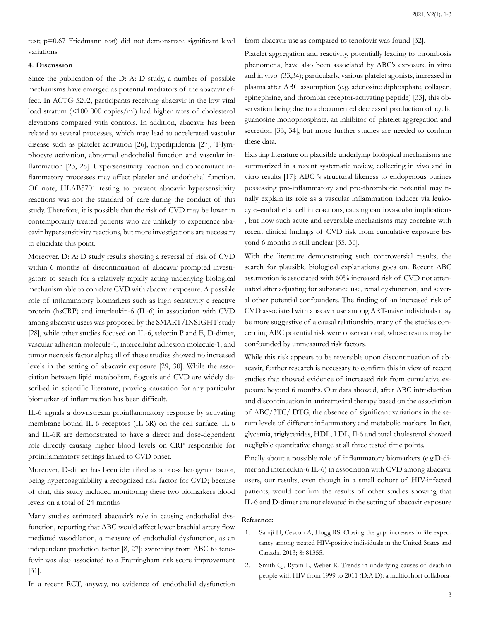test; p=0.67 Friedmann test) did not demonstrate significant level variations.

# **4. Discussion**

Since the publication of the D: A: D study, a number of possible mechanisms have emerged as potential mediators of the abacavir effect. In ACTG 5202, participants receiving abacavir in the low viral load stratum (<100 000 copies/ml) had higher rates of cholesterol elevations compared with controls. In addition, abacavir has been related to several processes, which may lead to accelerated vascular disease such as platelet activation [26], hyperlipidemia [27], T-lymphocyte activation, abnormal endothelial function and vascular inflammation [23, 28]. Hypersensitivity reaction and concomitant inflammatory processes may affect platelet and endothelial function. Of note, HLAB5701 testing to prevent abacavir hypersensitivity reactions was not the standard of care during the conduct of this study. Therefore, it is possible that the risk of CVD may be lower in contemporarily treated patients who are unlikely to experience abacavir hypersensitivity reactions, but more investigations are necessary to elucidate this point.

Moreover, D: A: D study results showing a reversal of risk of CVD within 6 months of discontinuation of abacavir prompted investigators to search for a relatively rapidly acting underlying biological mechanism able to correlate CVD with abacavir exposure. A possible role of inflammatory biomarkers such as high sensitivity c-reactive protein (hsCRP) and interleukin-6 (IL-6) in association with CVD among abacavir users was proposed by the SMART/INSIGHT study [28], while other studies focused on IL-6, selectin P and E, D-dimer, vascular adhesion molecule-1, intercellular adhesion molecule-1, and tumor necrosis factor alpha; all of these studies showed no increased levels in the setting of abacavir exposure [29, 30]. While the association between lipid metabolism, flogosis and CVD are widely described in scientific literature, proving causation for any particular biomarker of inflammation has been difficult.

IL-6 signals a downstream proinflammatory response by activating membrane-bound IL-6 receptors (IL-6R) on the cell surface. IL-6 and IL-6R are demonstrated to have a direct and dose-dependent role directly causing higher blood levels on CRP responsible for proinflammatory settings linked to CVD onset.

Moreover, D-dimer has been identified as a pro-atherogenic factor, being hypercoagulability a recognized risk factor for CVD; because of that, this study included monitoring these two biomarkers blood levels on a total of 24-months

Many studies estimated abacavir's role in causing endothelial dysfunction, reporting that ABC would affect lower brachial artery flow mediated vasodilation, a measure of endothelial dysfunction, as an independent prediction factor [8, 27]; switching from ABC to tenofovir was also associated to a Framingham risk score improvement [31].

In a recent RCT, anyway, no evidence of endothelial dysfunction

from abacavir use as compared to tenofovir was found [32].

Platelet aggregation and reactivity, potentially leading to thrombosis phenomena, have also been associated by ABC's exposure in vitro and in vivo (33,34); particularly, various platelet agonists, increased in plasma after ABC assumption (e.g. adenosine diphosphate, collagen, epinephrine, and thrombin receptor-activating peptide) [33], this observation being due to a documented decreased production of cyclic guanosine monophosphate, an inhibitor of platelet aggregation and secretion [33, 34], but more further studies are needed to confirm these data.

Existing literature on plausible underlying biological mechanisms are summarized in a recent systematic review, collecting in vivo and in vitro results [17]: ABC 's structural likeness to endogenous purines possessing pro-inflammatory and pro-thrombotic potential may finally explain its role as a vascular inflammation inducer via leukocyte–endothelial cell interactions, causing cardiovascular implications , but how such acute and reversible mechanisms may correlate with recent clinical findings of CVD risk from cumulative exposure beyond 6 months is still unclear [35, 36].

With the literature demonstrating such controversial results, the search for plausible biological explanations goes on. Recent ABC assumption is associated with 60% increased risk of CVD not attenuated after adjusting for substance use, renal dysfunction, and several other potential confounders. The finding of an increased risk of CVD associated with abacavir use among ART-naive individuals may be more suggestive of a causal relationship; many of the studies concerning ABC potential risk were observational, whose results may be confounded by unmeasured risk factors.

While this risk appears to be reversible upon discontinuation of abacavir, further research is necessary to confirm this in view of recent studies that showed evidence of increased risk from cumulative exposure beyond 6 months. Our data showed, after ABC introduction and discontinuation in antiretroviral therapy based on the association of ABC/3TC/ DTG, the absence of significant variations in the serum levels of different inflammatory and metabolic markers. In fact, glycemia, triglycerides, HDL, LDL, Il-6 and total cholesterol showed negligible quantitative change at all three tested time points.

Finally about a possible role of inflammatory biomarkers (e.g.D-dimer and interleukin-6 IL-6) in association with CVD among abacavir users, our results, even though in a small cohort of HIV-infected patients, would confirm the results of other studies showing that IL-6 and D-dimer are not elevated in the setting of abacavir exposure

### **Reference:**

- 1. [Samji H, Cescon A, Hogg RS. Closing the gap: increases in life expec](https://pubmed.ncbi.nlm.nih.gov/24367482/)[tancy among treated HIV-positive individuals in the United States and](https://pubmed.ncbi.nlm.nih.gov/24367482/)  [Canada. 2013; 8: 81355.](https://pubmed.ncbi.nlm.nih.gov/24367482/)
- 2. [Smith CJ, Ryom L, Weber R. Trends in underlying causes of death in](https://pubmed.ncbi.nlm.nih.gov/25042234/) [people with HIV from 1999 to 2011 \(D:A:D\): a multicohort collabora-](https://pubmed.ncbi.nlm.nih.gov/25042234/)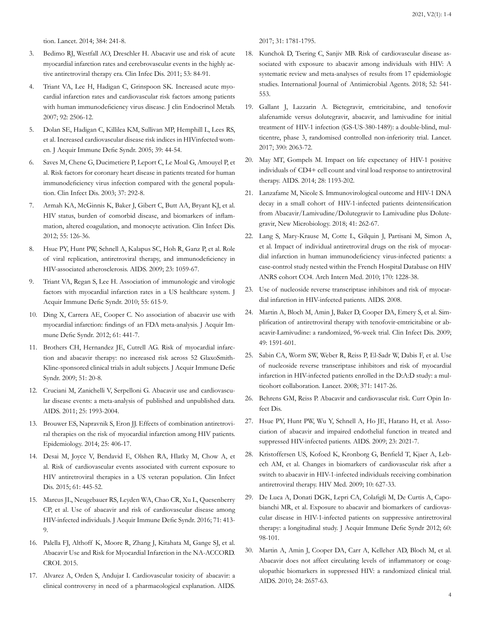[tion. Lancet. 2014; 384: 241-8.](https://pubmed.ncbi.nlm.nih.gov/25042234/)

- 3. [Bedimo RJ, Westfall AO, Dreschler H. Abacavir use and risk of acute](https://pubmed.ncbi.nlm.nih.gov/21653308/#:~:text=Use of abacavir was associated,use and AMI or CVA.) [myocardial infarction rates and cerebrovascular events in the highly ac](https://pubmed.ncbi.nlm.nih.gov/21653308/#:~:text=Use of abacavir was associated,use and AMI or CVA.)[tive antiretroviral therapy era. Clin Infec Dis. 2011; 53: 84-91.](https://pubmed.ncbi.nlm.nih.gov/21653308/#:~:text=Use of abacavir was associated,use and AMI or CVA.)
- 4. [Triant VA, Lee H, Hadigan C, Grinspoon SK. Increased acute myo](https://pubmed.ncbi.nlm.nih.gov/17456578/)[cardial infarction rates and cardiovascular risk factors among patients](https://pubmed.ncbi.nlm.nih.gov/17456578/)  [with human immunodeficiency virus disease. J clin Endocrinol Metab.](https://pubmed.ncbi.nlm.nih.gov/17456578/) [2007; 92: 2506-12.](https://pubmed.ncbi.nlm.nih.gov/17456578/)
- 5. [Dolan SE, Hadigan C, Killilea KM, Sullivan MP, Hemphill L, Lees RS,](https://pubmed.ncbi.nlm.nih.gov/15851913/)  [et al. Increased cardiovascular disease risk indices in HIVinfected wom](https://pubmed.ncbi.nlm.nih.gov/15851913/)[en. J Acquir Immune Defic Syndr. 2005; 39: 44-54.](https://pubmed.ncbi.nlm.nih.gov/15851913/)
- 6. [Saves M, Chene G, Ducimetiere P, Leport C, Le Moal G, Amouyel P, et](https://pubmed.ncbi.nlm.nih.gov/12856222/) [al. Risk factors for coronary heart disease in patients treated for human](https://pubmed.ncbi.nlm.nih.gov/12856222/)  [immunodeficiency virus infection compared with the general popula](https://pubmed.ncbi.nlm.nih.gov/12856222/)[tion. Clin Infect Dis. 2003; 37: 292-8.](https://pubmed.ncbi.nlm.nih.gov/12856222/)
- 7. [Armah KA, McGinnis K, Baker J, Gibert C, Butt AA, Bryant KJ, et al.](https://pubmed.ncbi.nlm.nih.gov/22534147/#:~:text=Conclusions%3A These data suggest that,altered coagulation%2C and monocyte activation.) [HIV status, burden of comorbid disease, and biomarkers of inflam](https://pubmed.ncbi.nlm.nih.gov/22534147/#:~:text=Conclusions%3A These data suggest that,altered coagulation%2C and monocyte activation.)[mation, altered coagulation, and monocyte activation. Clin Infect Dis.](https://pubmed.ncbi.nlm.nih.gov/22534147/#:~:text=Conclusions%3A These data suggest that,altered coagulation%2C and monocyte activation.)  [2012; 55: 126-36.](https://pubmed.ncbi.nlm.nih.gov/22534147/#:~:text=Conclusions%3A These data suggest that,altered coagulation%2C and monocyte activation.)
- 8. [Hsue PY, Hunt PW, Schnell A, Kalapus SC, Hoh R, Ganz P, et al. Role](https://pubmed.ncbi.nlm.nih.gov/19390417/)  [of viral replication, antiretroviral therapy, and immunodeficiency in](https://pubmed.ncbi.nlm.nih.gov/19390417/)  [HIV-associated atherosclerosis. AIDS. 2009; 23: 1059-67.](https://pubmed.ncbi.nlm.nih.gov/19390417/)
- 9. [Triant VA, Regan S, Lee H. Association of immunologic and virologic](https://pubmed.ncbi.nlm.nih.gov/20827215/)  [factors with myocardial infarction rates in a US healthcare system. J](https://pubmed.ncbi.nlm.nih.gov/20827215/)  [Acquir Immune Defic Syndr. 2010; 55: 615-9.](https://pubmed.ncbi.nlm.nih.gov/20827215/)
- 10. [Ding X, Carrera AE, Cooper C. No association of abacavir use with](https://pubmed.ncbi.nlm.nih.gov/22932321/#:~:text=Background%3A Several studies have reported,) among HIV%2Dinfected individuals.&text=Our analysis found no association between ABC use and MI risk.) [myocardial infarction: findings of an FDA meta-analysis. J Acquir Im](https://pubmed.ncbi.nlm.nih.gov/22932321/#:~:text=Background%3A Several studies have reported,) among HIV%2Dinfected individuals.&text=Our analysis found no association between ABC use and MI risk.)[mune Defic Syndr. 2012; 61: 441-7.](https://pubmed.ncbi.nlm.nih.gov/22932321/#:~:text=Background%3A Several studies have reported,) among HIV%2Dinfected individuals.&text=Our analysis found no association between ABC use and MI risk.)
- 11. [Brothers CH, Hernandez JE, Cutrell AG. Risk of myocardial infarc](https://pubmed.ncbi.nlm.nih.gov/19282778/)[tion and abacavir therapy: no increased risk across 52 GlaxoSmith-](https://pubmed.ncbi.nlm.nih.gov/19282778/)[Kline-sponsored clinical trials in adult subjects. J Acquir Immune Defic](https://pubmed.ncbi.nlm.nih.gov/19282778/) [Syndr. 2009; 51: 20-8.](https://pubmed.ncbi.nlm.nih.gov/19282778/)
- 12. [Cruciani M, Zanichelli V, Serpelloni G. Abacavir use and cardiovascu](https://pubmed.ncbi.nlm.nih.gov/21716077/)[lar disease events: a meta-analysis of published and unpublished data.](https://pubmed.ncbi.nlm.nih.gov/21716077/)  [AIDS. 2011; 25: 1993-2004.](https://pubmed.ncbi.nlm.nih.gov/21716077/)
- 13. [Brouwer ES, Napravnik S, Eron JJ. Effects of combination antiretrovi](https://pubmed.ncbi.nlm.nih.gov/24713880/)[ral therapies on the risk of myocardial infarction among HIV patients.](https://pubmed.ncbi.nlm.nih.gov/24713880/)  [Epidemiology. 2014; 25: 406-17.](https://pubmed.ncbi.nlm.nih.gov/24713880/)
- 14. [Desai M, Joyce V, Bendavid E, Olshen RA, Hlatky M, Chow A, et](https://pubmed.ncbi.nlm.nih.gov/25908684/#:~:text=Current exposure to abacavir%2C efavirenz,all of which involved lamivudine.)  [al. Risk of cardiovascular events associated with current exposure to](https://pubmed.ncbi.nlm.nih.gov/25908684/#:~:text=Current exposure to abacavir%2C efavirenz,all of which involved lamivudine.)  [HIV antiretroviral therapies in a US veteran population. Clin Infect](https://pubmed.ncbi.nlm.nih.gov/25908684/#:~:text=Current exposure to abacavir%2C efavirenz,all of which involved lamivudine.) [Dis. 2015; 61: 445-52.](https://pubmed.ncbi.nlm.nih.gov/25908684/#:~:text=Current exposure to abacavir%2C efavirenz,all of which involved lamivudine.)
- 15. [Marcus JL, Neugebauer RS, Leyden WA, Chao CR, Xu L, Quesenberry](https://pubmed.ncbi.nlm.nih.gov/26536316/#:~:text=Compared with patients initiating regimens,and a 2.1%2Dfold higher) [CP, et al. Use of abacavir and risk of cardiovascular disease among](https://pubmed.ncbi.nlm.nih.gov/26536316/#:~:text=Compared with patients initiating regimens,and a 2.1%2Dfold higher) [HIV-infected individuals. J Acquir Immune Defic Syndr. 2016; 71: 413-](https://pubmed.ncbi.nlm.nih.gov/26536316/#:~:text=Compared with patients initiating regimens,and a 2.1%2Dfold higher) [9.](https://pubmed.ncbi.nlm.nih.gov/26536316/#:~:text=Compared with patients initiating regimens,and a 2.1%2Dfold higher)
- 16. Palella FJ, Althoff K, Moore R, Zhang J, Kitahata M, Gange SJ, et al. Abacavir Use and Risk for Myocardial Infarction in the NA-ACCORD. CROI. 2015.
- 17. [Alvarez A, Orden S, Andujar I. Cardiovascular toxicity of abacavir: a](https://pubmed.ncbi.nlm.nih.gov/28537935/) [clinical controversy in need of a pharmacological explanation. AIDS.](https://pubmed.ncbi.nlm.nih.gov/28537935/)

[2017; 31: 1781-1795.](https://pubmed.ncbi.nlm.nih.gov/28537935/)

- 18. [Kunchok D, Tsering C, Sanjiv MB. Risk of cardiovascular disease as](https://pubmed.ncbi.nlm.nih.gov/30040992/)[sociated with exposure to abacavir among individuals with HIV: A](https://pubmed.ncbi.nlm.nih.gov/30040992/)  [systematic review and meta-analyses of results from 17 epidemiologic](https://pubmed.ncbi.nlm.nih.gov/30040992/) [studies. International Journal of Antimicrobial Agents. 2018; 52: 541-](https://pubmed.ncbi.nlm.nih.gov/30040992/) [553.](https://pubmed.ncbi.nlm.nih.gov/30040992/)
- 19. [Gallant J, Lazzarin A. Bictegravir, emtricitabine, and tenofovir](https://pubmed.ncbi.nlm.nih.gov/28867497/) [alafenamide versus dolutegravir, abacavir, and lamivudine for initial](https://pubmed.ncbi.nlm.nih.gov/28867497/) [treatment of HIV-1 infection \(GS-US-380-1489\): a double-blind, mul](https://pubmed.ncbi.nlm.nih.gov/28867497/)[ticentre, phase 3, randomised controlled non-inferiority trial. Lancet.](https://pubmed.ncbi.nlm.nih.gov/28867497/) [2017; 390: 2063-72.](https://pubmed.ncbi.nlm.nih.gov/28867497/)
- 20. [May MT, Gompels M. Impact on life expectancy of HIV-1 positive](https://pubmed.ncbi.nlm.nih.gov/24556869/#:~:text=Conclusion%3A Successfully treated HIV%2Dpositive,response and undetectable viral load.) [individuals of CD4+ cell count and viral load response to antiretroviral](https://pubmed.ncbi.nlm.nih.gov/24556869/#:~:text=Conclusion%3A Successfully treated HIV%2Dpositive,response and undetectable viral load.)  [therapy. AIDS. 2014; 28: 1193-202.](https://pubmed.ncbi.nlm.nih.gov/24556869/#:~:text=Conclusion%3A Successfully treated HIV%2Dpositive,response and undetectable viral load.)
- 21. [Lanzafame M, Nicole S. Immunovirological outcome and HIV-1 DNA](https://pubmed.ncbi.nlm.nih.gov/30311623/)  [decay in a small cohort of HIV-1-infected patients deintensification](https://pubmed.ncbi.nlm.nih.gov/30311623/) [from Abacavir/Lamivudine/Dolutegravir to Lamivudine plus Dolute](https://pubmed.ncbi.nlm.nih.gov/30311623/)[gravir, New Microbiology. 2018; 41: 262-67.](https://pubmed.ncbi.nlm.nih.gov/30311623/)
- 22. [Lang S, Mary-Krause M, Cotte L, Gilquin J, Partisani M, Simon A,](https://pubmed.ncbi.nlm.nih.gov/20660842/)  [et al. Impact of individual antiretroviral drugs on the risk of myocar](https://pubmed.ncbi.nlm.nih.gov/20660842/)[dial infarction in human immunodeficiency virus-infected patients: a](https://pubmed.ncbi.nlm.nih.gov/20660842/)  [case-control study nested within the French Hospital Database on HIV](https://pubmed.ncbi.nlm.nih.gov/20660842/)  [ANRS cohort CO4. Arch Intern Med. 2010; 170: 1228-38.](https://pubmed.ncbi.nlm.nih.gov/20660842/)
- 23. Use of nucleoside reverse transcriptase inhibitors and risk of myocardial infarction in HIV-infected patients. AIDS. 2008.
- 24. [Martin A, Bloch M, Amin J, Baker D, Cooper DA, Emery S, et al. Sim](https://pubmed.ncbi.nlm.nih.gov/19842973/)[plification of antiretroviral therapy with tenofovir-emtricitabine or ab](https://pubmed.ncbi.nlm.nih.gov/19842973/)[acavir-Lamivudine: a randomized, 96-week trial. Clin Infect Dis. 2009;](https://pubmed.ncbi.nlm.nih.gov/19842973/) [49: 1591-601.](https://pubmed.ncbi.nlm.nih.gov/19842973/)
- 25. [Sabin CA, Worm SW, Weber R, Reiss P, El-Sadr W, Dabis F, et al. Use](https://pubmed.ncbi.nlm.nih.gov/18387667/) [of nucleoside reverse transcriptase inhibitors and risk of myocardial](https://pubmed.ncbi.nlm.nih.gov/18387667/)  [infarction in HIV-infected patients enrolled in the D:A:D study: a mul](https://pubmed.ncbi.nlm.nih.gov/18387667/)[ticohort collaboration. Lancet. 2008; 371: 1417-26.](https://pubmed.ncbi.nlm.nih.gov/18387667/)
- 26. Behrens GM, Reiss P. Abacavir and cardiovascular risk. Curr Opin Infect Dis.
- 27. [Hsue PY, Hunt PW, Wu Y, Schnell A, Ho JE, Hatano H, et al. Asso](https://pubmed.ncbi.nlm.nih.gov/19542863/)[ciation of abacavir and impaired endothelial function in treated and](https://pubmed.ncbi.nlm.nih.gov/19542863/)  [suppressed HIV-infected patients. AIDS. 2009; 23: 2021-7.](https://pubmed.ncbi.nlm.nih.gov/19542863/)
- 28. [Kristoffersen US, Kofoed K, Kronborg G, Benfield T, Kjaer A, Leb](https://pubmed.ncbi.nlm.nih.gov/19891054/#:~:text=Conclusions%3A MMP9%2C MPO and hs,as the underlying pathogenetic mechanism.)[ech AM, et al. Changes in biomarkers of cardiovascular risk after a](https://pubmed.ncbi.nlm.nih.gov/19891054/#:~:text=Conclusions%3A MMP9%2C MPO and hs,as the underlying pathogenetic mechanism.) [switch to abacavir in HIV-1-infected individuals receiving combination](https://pubmed.ncbi.nlm.nih.gov/19891054/#:~:text=Conclusions%3A MMP9%2C MPO and hs,as the underlying pathogenetic mechanism.)  [antiretroviral therapy. HIV Med. 2009; 10: 627-33.](https://pubmed.ncbi.nlm.nih.gov/19891054/#:~:text=Conclusions%3A MMP9%2C MPO and hs,as the underlying pathogenetic mechanism.)
- 29. [De Luca A, Donati DGK, Lepri CA, Colafigli M, De Curtis A, Capo](https://pubmed.ncbi.nlm.nih.gov/22728753/)[bianchi MR, et al. Exposure to abacavir and biomarkers of cardiovas](https://pubmed.ncbi.nlm.nih.gov/22728753/)[cular disease in HIV-1-infected patients on suppressive antiretroviral](https://pubmed.ncbi.nlm.nih.gov/22728753/)  [therapy: a longitudinal study. J Acquir Immune Defic Syndr 2012; 60:](https://pubmed.ncbi.nlm.nih.gov/22728753/) [98-101.](https://pubmed.ncbi.nlm.nih.gov/22728753/)
- 30. [Martin A, Amin J, Cooper DA, Carr A, Kelleher AD, Bloch M, et al.](https://pubmed.ncbi.nlm.nih.gov/20827168/) [Abacavir does not affect circulating levels of inflammatory or coag](https://pubmed.ncbi.nlm.nih.gov/20827168/)[ulopathic biomarkers in suppressed HIV: a randomized clinical trial.](https://pubmed.ncbi.nlm.nih.gov/20827168/)  [AIDS. 2010; 24: 2657-63.](https://pubmed.ncbi.nlm.nih.gov/20827168/)